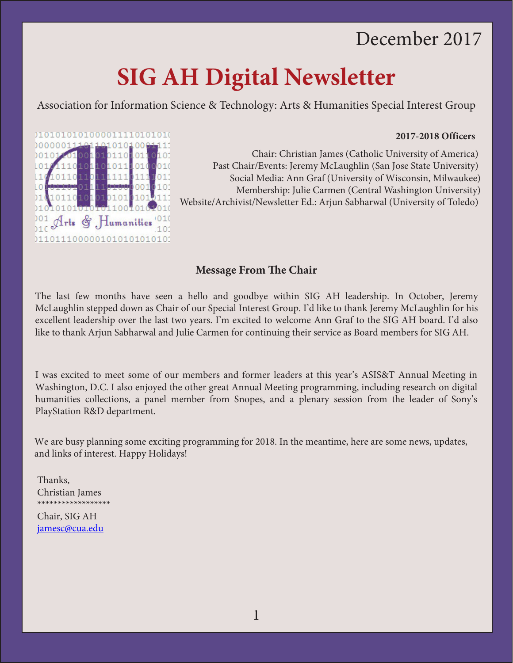## December 2017

# **SIG AH Digital Newsletter**

Association for Information Science & Technology: Arts & Humanities Special Interest Group

#### **2017-2018 Officers**



Chair: Christian James (Catholic University of America) Past Chair/Events: Jeremy McLaughlin (San Jose State University) Social Media: Ann Graf (University of Wisconsin, Milwaukee) Membership: Julie Carmen (Central Washington University) Website/Archivist/Newsletter Ed.: Arjun Sabharwal (University of Toledo)

#### **Message From The Chair**

The last few months have seen a hello and goodbye within SIG AH leadership. In October, Jeremy McLaughlin stepped down as Chair of our Special Interest Group. I'd like to thank Jeremy McLaughlin for his excellent leadership over the last two years. I'm excited to welcome Ann Graf to the SIG AH board. I'd also like to thank Arjun Sabharwal and Julie Carmen for continuing their service as Board members for SIG AH.

I was excited to meet some of our members and former leaders at this year's ASIS&T Annual Meeting in Washington, D.C. I also enjoyed the other great Annual Meeting programming, including research on digital humanities collections, a panel member from Snopes, and a plenary session from the leader of Sony's PlayStation R&D department.

We are busy planning some exciting programming for 2018. In the meantime, here are some news, updates, and links of interest. Happy Holidays!

Thanks, Christian James \*\*\*\*\*\*\*\*\*\*\*\*\*\*\*\*\*\*

Chair, SIG AH [jamesc@cua.edu](mailto:jamesc@cua.edu)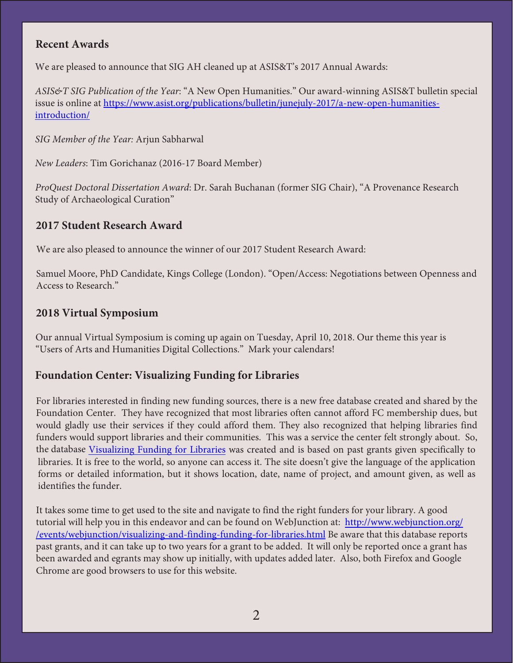#### **Recent Awards**

We are pleased to announce that SIG AH cleaned up at ASIS&T's 2017 Annual Awards:

*ASIS&T SIG Publication of the Year*: "A New Open Humanities." Our award-winning ASIS&T bulletin special issue is online at [https://www.asist.org/publications/bulletin/junejuly-2017/a-new-open-humanities](https://www.asist.org/publications/bulletin/junejuly-2017/a-new-open-humanities-introduction/)[introduction/](https://www.asist.org/publications/bulletin/junejuly-2017/a-new-open-humanities-introduction/)

*SIG Member of the Year:* Arjun Sabharwal

*New Leaders*: Tim Gorichanaz (2016-17 Board Member)

*ProQuest Doctoral Dissertation Award*: Dr. Sarah Buchanan (former SIG Chair), "A Provenance Research Study of Archaeological Curation"

### **2017 Student Research Award**

We are also pleased to announce the winner of our 2017 Student Research Award:

Samuel Moore, PhD Candidate, Kings College (London). "Open/Access: Negotiations between Openness and Access to Research."

#### **2018 Virtual Symposium**

Our annual Virtual Symposium is coming up again on Tuesday, April 10, 2018. Our theme this year is "Users of Arts and Humanities Digital Collections." Mark your calendars!

#### **Foundation Center: Visualizing Funding for Libraries**

For libraries interested in finding new funding sources, there is a new free database created and shared by the Foundation Center. They have recognized that most libraries often cannot afford FC membership dues, but would gladly use their services if they could afford them. They also recognized that helping libraries find funders would support libraries and their communities. This was a service the center felt strongly about. So, the database [Visualizing Funding for Libraries](http://libraries.foundationcenter.org/?doing_wp_cron=1489768118.8626179695129394531250) was created and is based on past grants given specifically to libraries. It is free to the world, so anyone can access it. The site doesn't give the language of the application forms or detailed information, but it shows location, date, name of project, and amount given, as well as identifies the funder.

It takes some time to get used to the site and navigate to find the right funders for your library. A good tutorial will help you in this endeavor and can be found on WebJunction at: http://[www.webjunction.org/](http://www.webjunction.org/events/webjunction/visualizing-and-finding-funding-for-libraries.html) [/events/webjunction/visualizing-and-finding-funding-for-libraries.html](http://www.webjunction.org/events/webjunction/visualizing-and-finding-funding-for-libraries.html) Be aware that this database reports past grants, and it can take up to two years for a grant to be added. It will only be reported once a grant has been awarded and egrants may show up initially, with updates added later. Also, both Firefox and Google Chrome are good browsers to use for this website.